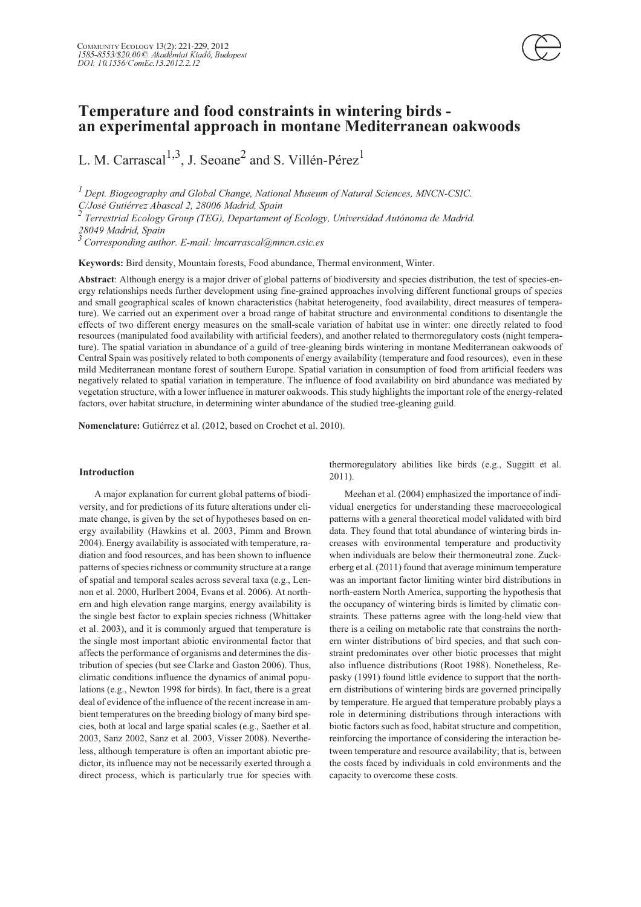

L. M. Carrascal<sup>1,3</sup>, J. Seoane<sup>2</sup> and S. Villén-Pérez<sup>1</sup>

 *Dept. Biogeography and Global Change, National Museum of Natural Sciences, MNCN-CSIC. C/José Gutiérrez Abascal 2, 28006 Madrid, Spain*

*Terrestrial Ecology Group (TEG), Departament of Ecology, Universidad Autónoma de Madrid.*

*28049 Madrid, Spain* -*Corresponding author. E-mail: lmcarrascal@mncn.csic.es*

**Keywords:** Bird density, Mountain forests, Food abundance, Thermal environment, Winter.

**Abstract**: Although energy is a major driver of global patterns of biodiversity and species distribution, the test of species-energy relationships needs further development using fine-grained approaches involving different functional groups of species and small geographical scales of known characteristics (habitat heterogeneity, food availability, direct measures of temperature). We carried out an experiment over a broad range of habitat structure and environmental conditions to disentangle the effects of two different energy measures on the small-scale variation of habitat use in winter: one directly related to food resources (manipulated food availability with artificial feeders), and another related to thermoregulatory costs (night temperature). The spatial variation in abundance of a guild of tree-gleaning birds wintering in montane Mediterranean oakwoods of Central Spain was positively related to both components of energy availability (temperature and food resources), even in these mild Mediterranean montane forest of southern Europe. Spatial variation in consumption of food from artificial feeders was negatively related to spatial variation in temperature. The influence of food availability on bird abundance was mediated by vegetation structure, with a lower influence in maturer oakwoods. This study highlights the important role of the energy-related factors, over habitat structure, in determining winter abundance of the studied tree-gleaning guild.

**Nomenclature:** Gutiérrez et al. (2012, based on Crochet et al. 2010).

#### **Introduction**

A major explanation for current global patterns of biodiversity, and for predictions of its future alterations under climate change, is given by the set of hypotheses based on energy availability (Hawkins et al. 2003, Pimm and Brown 2004). Energy availability is associated with temperature, radiation and food resources, and has been shown to influence patterns of species richness or community structure at a range of spatial and temporal scales across several taxa (e.g., Lennon et al. 2000, Hurlbert 2004, Evans et al. 2006). At northern and high elevation range margins, energy availability is the single best factor to explain species richness (Whittaker et al. 2003), and it is commonly argued that temperature is the single most important abiotic environmental factor that affects the performance of organisms and determines the distribution of species (but see Clarke and Gaston 2006). Thus, climatic conditions influence the dynamics of animal populations (e.g., Newton 1998 for birds). In fact, there is a great deal of evidence of the influence of the recent increase in ambient temperatures on the breeding biology of many bird species, both at local and large spatial scales (e.g., Saether et al. 2003, Sanz 2002, Sanz et al. 2003, Visser 2008). Nevertheless, although temperature is often an important abiotic predictor, its influence may not be necessarily exerted through a direct process, which is particularly true for species with thermoregulatory abilities like birds (e.g., Suggitt et al. 2011).

Meehan et al. (2004) emphasized the importance of individual energetics for understanding these macroecological patterns with a general theoretical model validated with bird data. They found that total abundance of wintering birds increases with environmental temperature and productivity when individuals are below their thermoneutral zone. Zuckerberg et al. (2011) found that average minimum temperature was an important factor limiting winter bird distributions in north-eastern North America, supporting the hypothesis that the occupancy of wintering birds is limited by climatic constraints. These patterns agree with the long-held view that there is a ceiling on metabolic rate that constrains the northern winter distributions of bird species, and that such constraint predominates over other biotic processes that might also influence distributions (Root 1988). Nonetheless, Repasky (1991) found little evidence to support that the northern distributions of wintering birds are governed principally by temperature. He argued that temperature probably plays a role in determining distributions through interactions with biotic factors such as food, habitat structure and competition, reinforcing the importance of considering the interaction between temperature and resource availability; that is, between the costs faced by individuals in cold environments and the capacity to overcome these costs.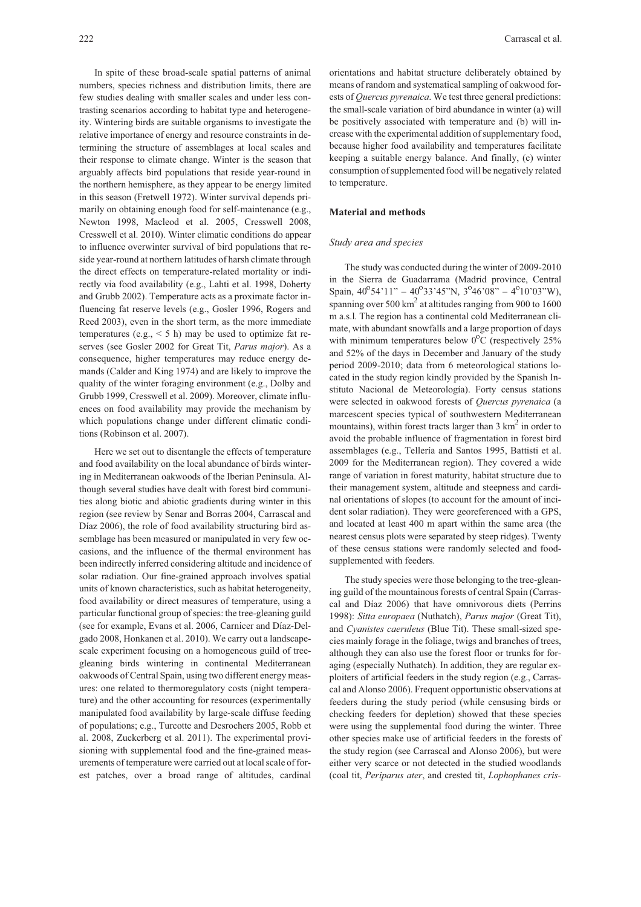In spite of these broad-scale spatial patterns of animal numbers, species richness and distribution limits, there are few studies dealing with smaller scales and under less contrasting scenarios according to habitat type and heterogeneity. Wintering birds are suitable organisms to investigate the relative importance of energy and resource constraints in determining the structure of assemblages at local scales and their response to climate change. Winter is the season that arguably affects bird populations that reside year-round in the northern hemisphere, as they appear to be energy limited in this season (Fretwell 1972). Winter survival depends primarily on obtaining enough food for self-maintenance (e.g., Newton 1998, Macleod et al. 2005, Cresswell 2008, Cresswell et al. 2010). Winter climatic conditions do appear to influence overwinter survival of bird populations that reside year-round at northern latitudes of harsh climate through the direct effects on temperature-related mortality or indirectly via food availability (e.g., Lahti et al. 1998, Doherty and Grubb 2002). Temperature acts as a proximate factor influencing fat reserve levels (e.g., Gosler 1996, Rogers and Reed 2003), even in the short term, as the more immediate temperatures (e.g.,  $\leq$  5 h) may be used to optimize fat reserves (see Gosler 2002 for Great Tit, *Parus major*). As a consequence, higher temperatures may reduce energy demands (Calder and King 1974) and are likely to improve the quality of the winter foraging environment (e.g., Dolby and Grubb 1999, Cresswell et al. 2009). Moreover, climate influences on food availability may provide the mechanism by which populations change under different climatic conditions (Robinson et al. 2007).

Here we set out to disentangle the effects of temperature and food availability on the local abundance of birds wintering in Mediterranean oakwoods of the Iberian Peninsula. Although several studies have dealt with forest bird communities along biotic and abiotic gradients during winter in this region (see review by Senar and Borras 2004, Carrascal and Díaz 2006), the role of food availability structuring bird assemblage has been measured or manipulated in very few occasions, and the influence of the thermal environment has been indirectly inferred considering altitude and incidence of solar radiation. Our fine-grained approach involves spatial units of known characteristics, such as habitat heterogeneity, food availability or direct measures of temperature, using a particular functional group of species: the tree-gleaning guild (see for example, Evans et al. 2006, Carnicer and Díaz-Delgado 2008, Honkanen et al. 2010). We carry out a landscapescale experiment focusing on a homogeneous guild of treegleaning birds wintering in continental Mediterranean oakwoods of Central Spain, using two different energy measures: one related to thermoregulatory costs (night temperature) and the other accounting for resources (experimentally manipulated food availability by large-scale diffuse feeding of populations; e.g., Turcotte and Desrochers 2005, Robb et al. 2008, Zuckerberg et al. 2011). The experimental provisioning with supplemental food and the fine-grained measurements of temperature were carried out at local scale of forest patches, over a broad range of altitudes, cardinal

orientations and habitat structure deliberately obtained by means of random and systematical sampling of oakwood forests of *Quercus pyrenaica*. We test three general predictions: the small-scale variation of bird abundance in winter (a) will be positively associated with temperature and (b) will increase with the experimental addition of supplementary food, because higher food availability and temperatures facilitate keeping a suitable energy balance. And finally, (c) winter consumption of supplemented food will be negatively related to temperature.

## **Material and methods**

#### *Study area and species*

The study was conducted during the winter of 2009-2010 in the Sierra de Guadarrama (Madrid province, Central Spain,  $40^{\circ}54'11'' - 40^{\circ}33'45''N$ ,  $3^{\circ}46'08'' - 4^{\circ}10'03''W$ ), spanning over  $500 \text{ km}^2$  at altitudes ranging from 900 to 1600 m a.s.l. The region has a continental cold Mediterranean climate, with abundant snowfalls and a large proportion of days with minimum temperatures below  $0^{\circ}$ C (respectively 25%) and 52% of the days in December and January of the study period 2009-2010; data from 6 meteorological stations located in the study region kindly provided by the Spanish Instituto Nacional de Meteorología). Forty census stations were selected in oakwood forests of *Quercus pyrenaica* (a marcescent species typical of southwestern Mediterranean mountains), within forest tracts larger than  $3 \text{ km}^2$  in order to avoid the probable influence of fragmentation in forest bird assemblages (e.g., Tellería and Santos 1995, Battisti et al. 2009 for the Mediterranean region). They covered a wide range of variation in forest maturity, habitat structure due to their management system, altitude and steepness and cardinal orientations of slopes (to account for the amount of incident solar radiation). They were georeferenced with a GPS, and located at least 400 m apart within the same area (the nearest census plots were separated by steep ridges). Twenty of these census stations were randomly selected and foodsupplemented with feeders.

The study species were those belonging to the tree-gleaning guild of the mountainous forests of central Spain (Carrascal and Díaz 2006) that have omnivorous diets (Perrins 1998): *Sitta europaea* (Nuthatch), *Parus major* (Great Tit), and *Cyanistes caeruleus* (Blue Tit). These small-sized species mainly forage in the foliage, twigs and branches of trees, although they can also use the forest floor or trunks for foraging (especially Nuthatch). In addition, they are regular exploiters of artificial feeders in the study region (e.g., Carrascal and Alonso 2006). Frequent opportunistic observations at feeders during the study period (while censusing birds or checking feeders for depletion) showed that these species were using the supplemental food during the winter. Three other species make use of artificial feeders in the forests of the study region (see Carrascal and Alonso 2006), but were either very scarce or not detected in the studied woodlands (coal tit, *Periparus ater*, and crested tit, *Lophophanes cris-*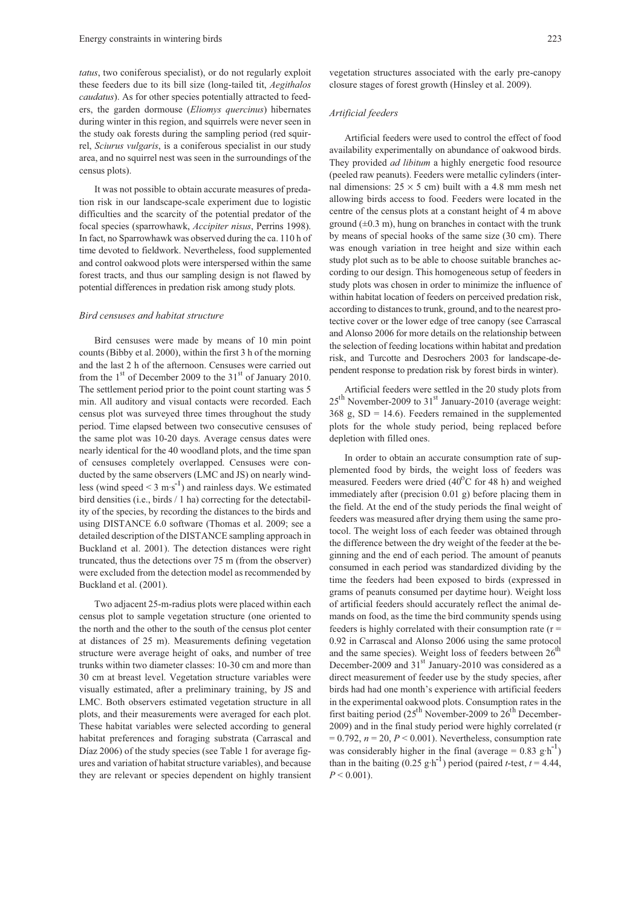*tatus*, two coniferous specialist), or do not regularly exploit these feeders due to its bill size (long-tailed tit, *Aegithalos caudatus*). As for other species potentially attracted to feeders, the garden dormouse (*Eliomys quercinus*) hibernates during winter in this region, and squirrels were never seen in the study oak forests during the sampling period (red squirrel, *Sciurus vulgaris*, is a coniferous specialist in our study area, and no squirrel nest was seen in the surroundings of the census plots).

It was not possible to obtain accurate measures of predation risk in our landscape-scale experiment due to logistic difficulties and the scarcity of the potential predator of the focal species (sparrowhawk, *Accipiter nisus*, Perrins 1998). In fact, no Sparrowhawk was observed during the ca. 110 h of time devoted to fieldwork. Nevertheless, food supplemented and control oakwood plots were interspersed within the same forest tracts, and thus our sampling design is not flawed by potential differences in predation risk among study plots.

#### *Bird censuses and habitat structure*

Bird censuses were made by means of 10 min point counts (Bibby et al. 2000), within the first 3 h of the morning and the last 2 h of the afternoon. Censuses were carried out from the  $1<sup>st</sup>$  of December 2009 to the 31<sup>st</sup> of January 2010. The settlement period prior to the point count starting was 5 min. All auditory and visual contacts were recorded. Each census plot was surveyed three times throughout the study period. Time elapsed between two consecutive censuses of the same plot was 10-20 days. Average census dates were nearly identical for the 40 woodland plots, and the time span of censuses completely overlapped. Censuses were conducted by the same observers (LMC and JS) on nearly windless (wind speed  $\leq 3$  m·s<sup>1</sup>) and rainless days. We estimated bird densities (i.e., birds / 1 ha) correcting for the detectability of the species, by recording the distances to the birds and using DISTANCE 6.0 software (Thomas et al. 2009; see a detailed description of the DISTANCE sampling approach in Buckland et al. 2001). The detection distances were right truncated, thus the detections over 75 m (from the observer) were excluded from the detection model as recommended by Buckland et al. (2001).

Two adjacent 25-m-radius plots were placed within each census plot to sample vegetation structure (one oriented to the north and the other to the south of the census plot center at distances of 25 m). Measurements defining vegetation structure were average height of oaks, and number of tree trunks within two diameter classes: 10-30 cm and more than 30 cm at breast level. Vegetation structure variables were visually estimated, after a preliminary training, by JS and LMC. Both observers estimated vegetation structure in all plots, and their measurements were averaged for each plot. These habitat variables were selected according to general habitat preferences and foraging substrata (Carrascal and Díaz 2006) of the study species (see Table 1 for average figures and variation of habitat structure variables), and because they are relevant or species dependent on highly transient vegetation structures associated with the early pre-canopy closure stages of forest growth (Hinsley et al. 2009).

## *Artificial feeders*

Artificial feeders were used to control the effect of food availability experimentally on abundance of oakwood birds. They provided *ad libitum* a highly energetic food resource (peeled raw peanuts). Feeders were metallic cylinders (internal dimensions:  $25 \times 5$  cm) built with a 4.8 mm mesh net allowing birds access to food. Feeders were located in the centre of the census plots at a constant height of 4 m above ground  $(\pm 0.3 \text{ m})$ , hung on branches in contact with the trunk by means of special hooks of the same size (30 cm). There was enough variation in tree height and size within each study plot such as to be able to choose suitable branches according to our design. This homogeneous setup of feeders in study plots was chosen in order to minimize the influence of within habitat location of feeders on perceived predation risk, according to distances to trunk, ground, and to the nearest protective cover or the lower edge of tree canopy (see Carrascal and Alonso 2006 for more details on the relationship between the selection of feeding locations within habitat and predation risk, and Turcotte and Desrochers 2003 for landscape-dependent response to predation risk by forest birds in winter).

Artificial feeders were settled in the 20 study plots from  $25<sup>th</sup>$  November-2009 to 31<sup>st</sup> January-2010 (average weight:  $368 \text{ g}$ , SD = 14.6). Feeders remained in the supplemented plots for the whole study period, being replaced before depletion with filled ones.

In order to obtain an accurate consumption rate of supplemented food by birds, the weight loss of feeders was measured. Feeders were dried  $(40^{\circ}$ C for 48 h) and weighed immediately after (precision 0.01 g) before placing them in the field. At the end of the study periods the final weight of feeders was measured after drying them using the same protocol. The weight loss of each feeder was obtained through the difference between the dry weight of the feeder at the beginning and the end of each period. The amount of peanuts consumed in each period was standardized dividing by the time the feeders had been exposed to birds (expressed in grams of peanuts consumed per daytime hour). Weight loss of artificial feeders should accurately reflect the animal demands on food, as the time the bird community spends using feeders is highly correlated with their consumption rate  $(r =$ 0.92 in Carrascal and Alonso 2006 using the same protocol and the same species). Weight loss of feeders between  $26<sup>th</sup>$ December-2009 and  $31<sup>st</sup>$  January-2010 was considered as a direct measurement of feeder use by the study species, after birds had had one month's experience with artificial feeders in the experimental oakwood plots. Consumption rates in the first baiting period  $(25<sup>th</sup>$  November-2009 to  $26<sup>th</sup>$  December-2009) and in the final study period were highly correlated (r  $= 0.792$ ,  $n = 20$ ,  $P \le 0.001$ ). Nevertheless, consumption rate was considerably higher in the final (average =  $0.83$  g·h<sup>-1</sup>) than in the baiting  $(0.25 \text{ g} \cdot \text{h}^{-1})$  period (paired *t*-test,  $t = 4.44$ ,  $P < 0.001$ ).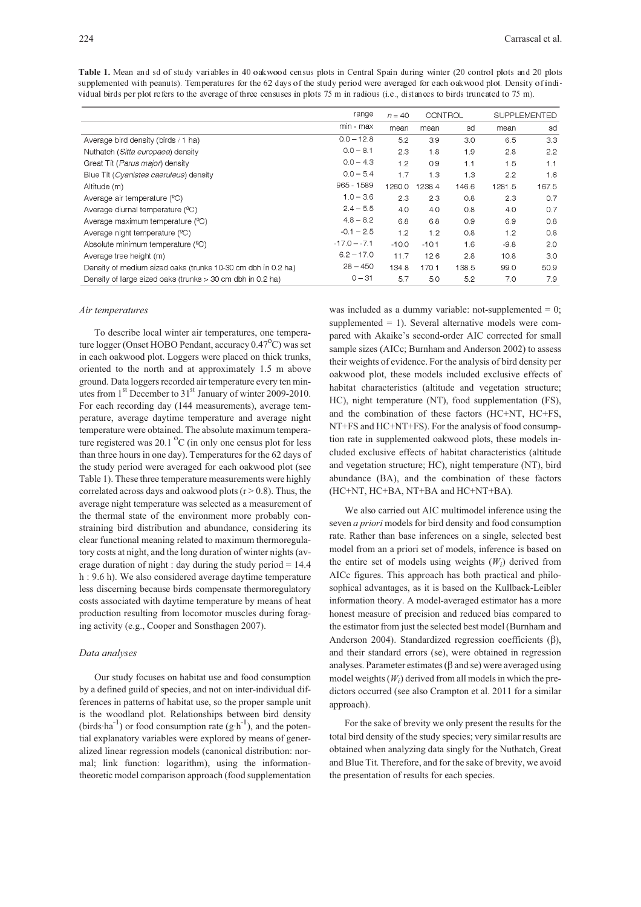Table 1. Mean and sd of study variables in 40 oakwood census plots in Central Spain during winter (20 control plots and 20 plots supplemented with peanuts). Temperatures for the 62 days of the study period were averaged for each oakwood plot. Density of individual birds per plot refers to the average of three censuses in plots 75 m in radious (i.e., distances to birds truncated to 75 m).

|                                                              | range          | CONTROL<br>$n = 40$ |         | <b>SUPPLEMENTED</b> |        |       |
|--------------------------------------------------------------|----------------|---------------------|---------|---------------------|--------|-------|
|                                                              | min - max      | mean                | mean    | sd                  | mean   | sd    |
| Average bird density (birds / 1 ha)                          | $0.0 - 12.8$   | 5.2                 | 3.9     | 3.0                 | 6.5    | 3.3   |
| Nuthatch (Sitta europaea) density                            | $0.0 - 8.1$    | 2.3                 | 1.8     | 1.9                 | 2.8    | 2.2   |
| Great Tit (Parus major) density                              | $0.0 - 4.3$    | 1.2                 | 0.9     | 1.1                 | 1.5    | 1.1   |
| Blue Tit (Cyanistes caeruleus) density                       | $0.0 - 5.4$    | 1.7                 | 1.3     | 1.3                 | 2.2    | 1.6   |
| Altitude (m)                                                 | 965 - 1589     | 1260.0              | 1238.4  | 146.6               | 1281.5 | 167.5 |
| Average air temperature (°C)                                 | $1.0 - 3.6$    | 2.3                 | 2.3     | 0.8                 | 2.3    | 0.7   |
| Average diurnal temperature (°C)                             | $2.4 - 5.5$    | 4.0                 | 4.0     | 0.8                 | 4.0    | 0.7   |
| Average maximum temperature (°C)                             | $4.8 - 8.2$    | 6.8                 | 6.8     | 0.9                 | 6.9    | 0.8   |
| Average night temperature (°C)                               | $-0.1 - 2.5$   | 1.2                 | 12      | 0.8                 | 1.2    | 0.8   |
| Absolute minimum temperature (°C)                            | $-17.0 - -7.1$ | $-10.0$             | $-10.1$ | 1.6                 | $-9.8$ | 2.0   |
| Average tree height (m)                                      | $6.2 - 17.0$   | 11.7                | 12.6    | 2.8                 | 10.8   | 3.0   |
| Density of medium sized oaks (trunks 10-30 cm dbh in 0.2 ha) | $28 - 450$     | 134.8               | 170.1   | 138.5               | 99.0   | 50.9  |
| Density of large sized oaks (trunks > 30 cm dbh in 0.2 ha)   | $0 - 31$       | 5.7                 | 5.0     | 5.2                 | 7.0    | 7.9   |

#### *Air temperatures*

To describe local winter air temperatures, one temperature logger (Onset HOBO Pendant, accuracy 0.47 C) was set in each oakwood plot. Loggers were placed on thick trunks, oriented to the north and at approximately 1.5 m above ground. Data loggers recorded air temperature every ten minutes from  $1<sup>st</sup>$  December to  $31<sup>st</sup>$  January of winter 2009-2010. For each recording day (144 measurements), average temperature, average daytime temperature and average night temperature were obtained. The absolute maximum temperature registered was 20.1  $\mathrm{^0C}$  (in only one census plot for less than three hours in one day). Temperatures for the 62 days of the study period were averaged for each oakwood plot (see Table 1). These three temperature measurements were highly correlated across days and oakwood plots  $(r > 0.8)$ . Thus, the average night temperature was selected as a measurement of the thermal state of the environment more probably constraining bird distribution and abundance, considering its clear functional meaning related to maximum thermoregulatory costs at night, and the long duration of winter nights (average duration of night : day during the study period = 14.4 h : 9.6 h). We also considered average daytime temperature less discerning because birds compensate thermoregulatory costs associated with daytime temperature by means of heat production resulting from locomotor muscles during foraging activity (e.g., Cooper and Sonsthagen 2007).

## *Data analyses*

Our study focuses on habitat use and food consumption by a defined guild of species, and not on inter-individual differences in patterns of habitat use, so the proper sample unit is the woodland plot. Relationships between bird density (birds ha<sup>1</sup>) or food consumption rate  $(g \cdot h^{-1})$ , and the potential explanatory variables were explored by means of generalized linear regression models (canonical distribution: normal; link function: logarithm), using the informationtheoretic model comparison approach (food supplementation

was included as a dummy variable: not-supplemented  $= 0$ ; supplemented = 1). Several alternative models were compared with Akaike's second-order AIC corrected for small sample sizes (AICc; Burnham and Anderson 2002) to assess their weights of evidence. For the analysis of bird density per oakwood plot, these models included exclusive effects of habitat characteristics (altitude and vegetation structure; HC), night temperature (NT), food supplementation (FS), and the combination of these factors (HC+NT, HC+FS, NT+FS and HC+NT+FS). For the analysis of food consumption rate in supplemented oakwood plots, these models included exclusive effects of habitat characteristics (altitude and vegetation structure; HC), night temperature (NT), bird abundance (BA), and the combination of these factors (HC+NT, HC+BA, NT+BA and HC+NT+BA).

We also carried out AIC multimodel inference using the seven *a priori* models for bird density and food consumption rate. Rather than base inferences on a single, selected best model from an a priori set of models, inference is based on the entire set of models using weights  $(W_i)$  derived from AICc figures. This approach has both practical and philosophical advantages, as it is based on the Kullback-Leibler information theory. A model-averaged estimator has a more honest measure of precision and reduced bias compared to the estimator from just the selected best model (Burnham and Anderson 2004). Standardized regression coefficients (β), and their standard errors (se), were obtained in regression analyses. Parameter estimates ( $\beta$  and se) were averaged using model weights  $(W_i)$  derived from all models in which the predictors occurred (see also Crampton et al. 2011 for a similar approach).

For the sake of brevity we only present the results for the total bird density of the study species; very similar results are obtained when analyzing data singly for the Nuthatch, Great and Blue Tit. Therefore, and for the sake of brevity, we avoid the presentation of results for each species.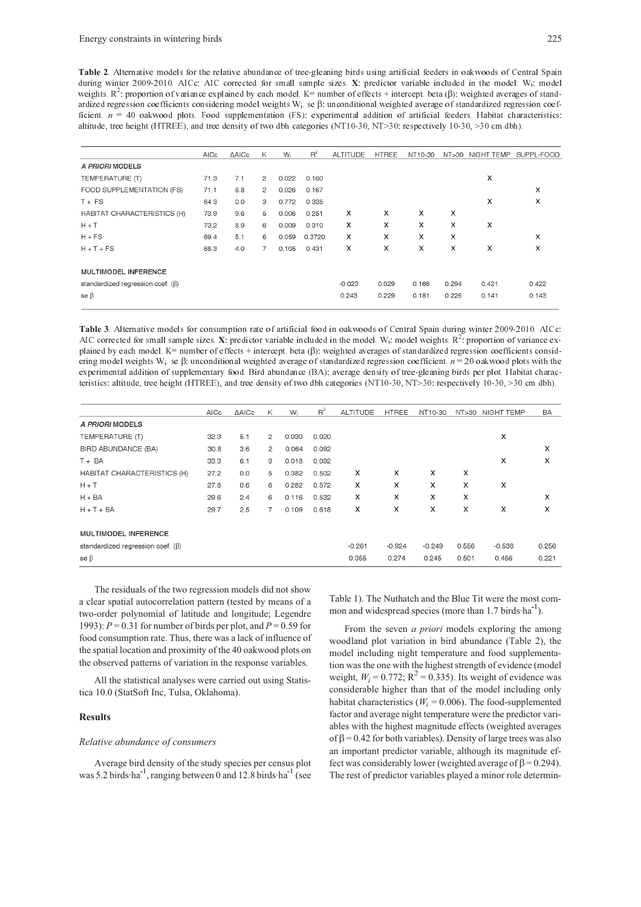Table 2. Alternative models for the relative abundance of tree-gleaning birds using artificial feeders in oakwoods of Central Spain during winter 2009-2010. AICc: AIC corrected for small sample sizes.  $X$ : predictor variable included in the model. W<sub>i</sub>: model weights.  $R^2$ : proportion of variance explained by each model.  $K =$  number of effects + intercept. beta  $(\beta)$ : weighted averages of standardized regression coefficients considering model weights  $W_i$ . se  $\beta$ : unconditional weighted average of standardized regression coefficient  $n = 40$  oakwood plots. Food supplementation (FS): experimental addition of artificial feeders. Habitat characteristics: altitude, tree height (HTREE), and tree density of two dbh categories (NT10-30, NT>30: respectively 10-30, >30 cm dbh).

|                                         | AIC <sub>c</sub> | <b>AAICc</b> | K              | W:    | $R^2$  | <b>ALTITUDE</b> | <b>HTREE</b> | NT10-30 | NT>30 |            |            |
|-----------------------------------------|------------------|--------------|----------------|-------|--------|-----------------|--------------|---------|-------|------------|------------|
|                                         |                  |              |                |       |        |                 |              |         |       | NIGHT TEMP | SUPPL-FOOD |
| A PRIORI MODELS                         |                  |              |                |       |        |                 |              |         |       |            |            |
| TEMPERATURE (T)                         | 71.3             | 7.1          | $\overline{2}$ | 0.022 | 0.160  |                 |              |         |       | X          |            |
| FOOD SUPPLEMENTATION (FS)               | 71.1             | 6.8          | $\overline{2}$ | 0.026 | 0.167  |                 |              |         |       |            | x          |
| $T + FS$                                | 64.3             | 0.0          | 3              | 0.772 | 0.335  |                 |              |         |       | X          | x          |
| HABITAT CHARACTERISTICS (H)             | 73.9             | 9.6          | 5              | 0.006 | 0.251  | X               | X            | X       | x     |            |            |
| $H + T$                                 | 73.2             | 8.9          | 6              | 0.009 | 0.310  | x               | X            | X       | X     | X          |            |
| $H + FS$                                | 69.4             | 5.1          | 6              | 0.059 | 0.3720 | X               | X            | x       | x     |            | x          |
| $H + T + FS$                            | 68.3             | 4.0          | $\overline{7}$ | 0.105 | 0.431  | x               | x            | x       | x     | X          | x          |
| MULTIMODEL INFERENCE                    |                  |              |                |       |        |                 |              |         |       |            |            |
| standardized regression coef. $(\beta)$ |                  |              |                |       |        | $-0.023$        | 0.029        | 0.166   | 0.294 | 0.421      | 0.422      |
| se $\beta$                              |                  |              |                |       |        | 0.243           | 0.229        | 0.181   | 0.226 | 0.141      | 0.143      |

**Table 3**. Alternative models for consumption rate of artificial food in oakwoods of Central Spain during winter 2009-2010. AICc: AIC corrected for small sample sizes.  $\bf{X}$  predictor variable included in the model. W<sub>i</sub>: model weights.  $R^2$ : proportion of variance explained by each model. K= number of effects + intercept. beta ( $\beta$ ): weighted averages of standardized regression coefficients considering model weights W<sub>i</sub> se  $\beta$ : unconditional weighted average of standardized regression coefficient  $n = 20$  oakwood plots with the experimental addition of supplementary food. Bird abundance (BA): average density of tree-gleaning birds per plot. Habitat characteristics: altitude, tree height (HTREE), and tree density of two dbh categories (NT10-30, NT>30: respectively  $10-30, >30$  cm dbh).

|                                         | AICc | <b>AAICc</b> | K              | W <sub>i</sub> | $R^2$ | <b>ALTITUDE</b> | <b>HTREE</b> | NT10-30  | NT>30 | NIGHT TEMP | <b>BA</b> |
|-----------------------------------------|------|--------------|----------------|----------------|-------|-----------------|--------------|----------|-------|------------|-----------|
| A PRIORI MODELS                         |      |              |                |                |       |                 |              |          |       |            |           |
| TEMPERATURE (T)                         | 32.3 | 5.1          | $\overline{2}$ | 0.030          | 0.020 |                 |              |          |       | X          |           |
| BIRD ABUNDANCE (BA)                     | 30.8 | 3.6          | $\overline{2}$ | 0.064          | 0.092 |                 |              |          |       |            | x         |
| $T + BA$                                | 33.3 | 6.1          | 3              | 0.018          | 0.092 |                 |              |          |       | x          | x         |
| HABITAT CHARACTERISTICS (H)             | 27.2 | 0.0          | 5              | 0.382          | 0.502 | x               | x            | x        | x     |            |           |
| $H + T$                                 | 27.8 | 0.6          | 6              | 0.282          | 0.572 | X               | X            | X        | X     | x          |           |
| $H + BA$                                | 29.6 | 2.4          | 6              | 0.116          | 0.532 | X               | X            | X        | X     |            | x         |
| $H + T + BA$                            | 29.7 | 2.5          | 7              | 0.109          | 0.618 | x               | X            | x        | X     | x          | x         |
| MULTIMODEL INFERENCE                    |      |              |                |                |       |                 |              |          |       |            |           |
| standardized regression coef. $(\beta)$ |      |              |                |                |       | $-0.261$        | $-0.924$     | $-0.249$ | 0.556 | $-0.538$   | 0.256     |
| se $\beta$                              |      |              |                |                |       | 0.355           | 0.274        | 0.245    | 0.501 | 0.456      | 0.221     |

The residuals of the two regression models did not show a clear spatial autocorrelation pattern (tested by means of a two-order polynomial of latitude and longitude; Legendre 1993): *P* = 0.31 for number of birds per plot, and *P* = 0.59 for food consumption rate. Thus, there was a lack of influence of the spatial location and proximity of the 40 oakwood plots on the observed patterns of variation in the response variables.

All the statistical analyses were carried out using Statistica 10.0 (StatSoft Inc, Tulsa, Oklahoma).

## **Results**

#### *Relative abundance of consumers*

Average bird density of the study species per census plot was 5.2 birds ha<sup>1</sup>, ranging between 0 and 12.8 birds ha<sup>1</sup> (see Table 1). The Nuthatch and the Blue Tit were the most common and widespread species (more than 1.7 birds ha<sup>1</sup>).

From the seven *a priori* models exploring the among woodland plot variation in bird abundance (Table 2), the model including night temperature and food supplementation was the one with the highest strength of evidence (model weight,  $W_i = 0.772$ ;  $R^2 = 0.335$ ). Its weight of evidence was considerable higher than that of the model including only habitat characteristics ( $W_i$  = 0.006). The food-supplemented factor and average night temperature were the predictor variables with the highest magnitude effects (weighted averages of  $\beta$  = 0.42 for both variables). Density of large trees was also an important predictor variable, although its magnitude effect was considerably lower (weighted average of  $β = 0.294$ ). The rest of predictor variables played a minor role determin-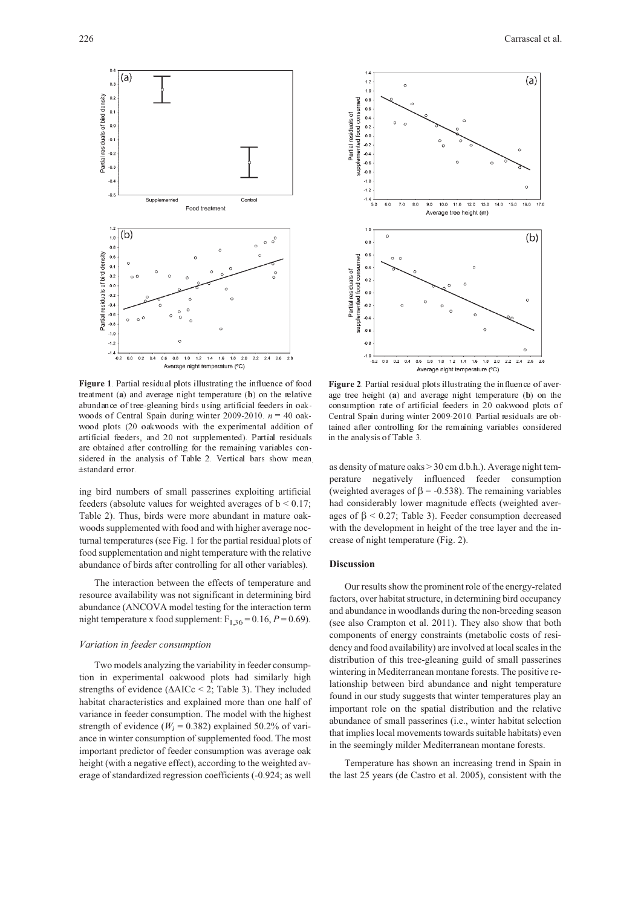

Figure 1 Partial residual plots illustrating the influence of food treatment (a) and average night temperature (b) on the relative abundance of tree-gleaning birds using artificial feeders in oakwoods of Central Spain during winter  $2009-2010$   $n = 40$  oakwood plots (20 oakwoods with the experimental addition of artificial feeders, and 20 not supplemented). Partial residuals are obtained after controlling for the remaining variables considered in the analysis of Table 2. Vertical bars show mean ±standard error.

ing bird numbers of small passerines exploiting artificial feeders (absolute values for weighted averages of  $b < 0.17$ ; Table 2). Thus, birds were more abundant in mature oakwoods supplemented with food and with higher average nocturnal temperatures (see Fig. 1 for the partial residual plots of food supplementation and night temperature with the relative abundance of birds after controlling for all other variables).

The interaction between the effects of temperature and resource availability was not significant in determining bird abundance (ANCOVA model testing for the interaction term night temperature x food supplement:  $F_{1,36} = 0.16$ ,  $P = 0.69$ ).

# *Variation in feeder consumption*

Two models analyzing the variability in feeder consumption in experimental oakwood plots had similarly high strengths of evidence (∆AICc < 2; Table 3). They included habitat characteristics and explained more than one half of variance in feeder consumption. The model with the highest strength of evidence ( $W_i$  = 0.382) explained 50.2% of variance in winter consumption of supplemented food. The most important predictor of feeder consumption was average oak height (with a negative effect), according to the weighted average of standardized regression coefficients (-0.924; as well





Figure 2 Partial residual plots illustrating the influence of average tree height  $(a)$  and average night temperature  $(b)$  on the consumption rate of artificial feeders in 20 oakwood plots of Central Spain during winter 2009-2010 Partial residuals are obtained after controlling for the remaining variables considered in the analysis of Table 3.

as density of mature oaks > 30 cm d.b.h.). Average night temperature negatively influenced feeder consumption (weighted averages of  $\beta$  = -0.538). The remaining variables had considerably lower magnitude effects (weighted averages of  $β < 0.27$ ; Table 3). Feeder consumption decreased with the development in height of the tree layer and the increase of night temperature (Fig. 2).

## **Discussion**

Our results show the prominent role of the energy-related factors, over habitat structure, in determining bird occupancy and abundance in woodlands during the non-breeding season (see also Crampton et al. 2011). They also show that both components of energy constraints (metabolic costs of residency and food availability) are involved at local scales in the distribution of this tree-gleaning guild of small passerines wintering in Mediterranean montane forests. The positive relationship between bird abundance and night temperature found in our study suggests that winter temperatures play an important role on the spatial distribution and the relative abundance of small passerines (i.e., winter habitat selection that implies local movements towards suitable habitats) even in the seemingly milder Mediterranean montane forests.

Temperature has shown an increasing trend in Spain in the last 25 years (de Castro et al. 2005), consistent with the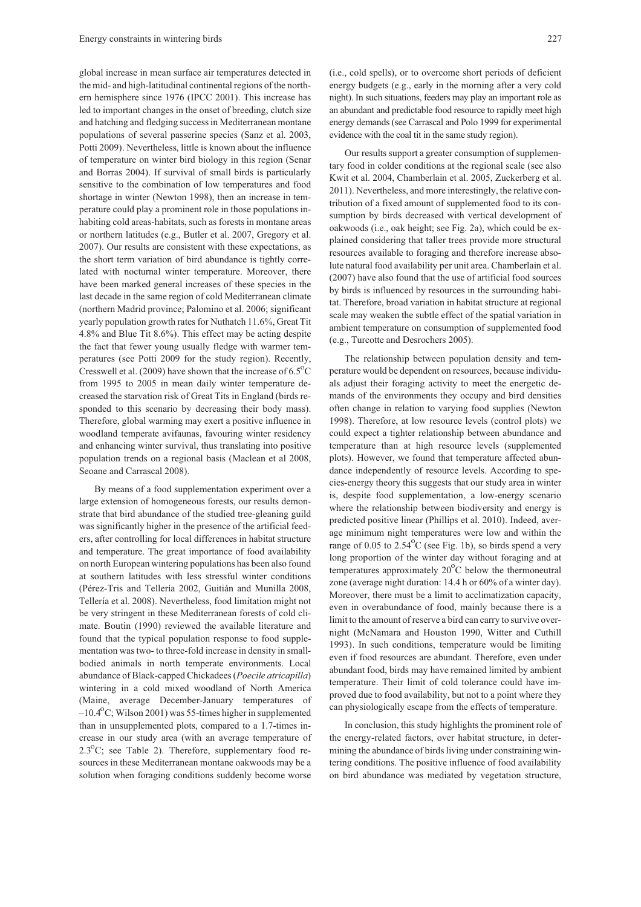global increase in mean surface air temperatures detected in the mid- and high-latitudinal continental regions of the northern hemisphere since 1976 (IPCC 2001). This increase has led to important changes in the onset of breeding, clutch size and hatching and fledging success in Mediterranean montane populations of several passerine species (Sanz et al. 2003, Potti 2009). Nevertheless, little is known about the influence of temperature on winter bird biology in this region (Senar and Borras 2004). If survival of small birds is particularly sensitive to the combination of low temperatures and food shortage in winter (Newton 1998), then an increase in temperature could play a prominent role in those populations inhabiting cold areas-habitats, such as forests in montane areas or northern latitudes (e.g., Butler et al. 2007, Gregory et al. 2007). Our results are consistent with these expectations, as the short term variation of bird abundance is tightly correlated with nocturnal winter temperature. Moreover, there have been marked general increases of these species in the last decade in the same region of cold Mediterranean climate (northern Madrid province; Palomino et al. 2006; significant yearly population growth rates for Nuthatch 11.6%, Great Tit 4.8% and Blue Tit 8.6%). This effect may be acting despite the fact that fewer young usually fledge with warmer temperatures (see Potti 2009 for the study region). Recently, Cresswell et al. (2009) have shown that the increase of  $6.5^{\circ}$ C from 1995 to 2005 in mean daily winter temperature decreased the starvation risk of Great Tits in England (birds responded to this scenario by decreasing their body mass). Therefore, global warming may exert a positive influence in woodland temperate avifaunas, favouring winter residency and enhancing winter survival, thus translating into positive population trends on a regional basis (Maclean et al 2008, Seoane and Carrascal 2008).

By means of a food supplementation experiment over a large extension of homogeneous forests, our results demonstrate that bird abundance of the studied tree-gleaning guild was significantly higher in the presence of the artificial feeders, after controlling for local differences in habitat structure and temperature. The great importance of food availability on north European wintering populations has been also found at southern latitudes with less stressful winter conditions (Pérez-Tris and Tellería 2002, Guitián and Munilla 2008, Tellería et al. 2008). Nevertheless, food limitation might not be very stringent in these Mediterranean forests of cold climate. Boutin (1990) reviewed the available literature and found that the typical population response to food supplementation was two- to three-fold increase in density in smallbodied animals in north temperate environments. Local abundance of Black-capped Chickadees (*Poecile atricapilla*) wintering in a cold mixed woodland of North America (Maine, average December-January temperatures of –10.4 C; Wilson 2001) was 55-times higher in supplemented than in unsupplemented plots, compared to a 1.7-times increase in our study area (with an average temperature of 2.3 C; see Table 2). Therefore, supplementary food resources in these Mediterranean montane oakwoods may be a solution when foraging conditions suddenly become worse

(i.e., cold spells), or to overcome short periods of deficient energy budgets (e.g., early in the morning after a very cold night). In such situations, feeders may play an important role as an abundant and predictable food resource to rapidly meet high energy demands (see Carrascal and Polo 1999 for experimental evidence with the coal tit in the same study region).

Our results support a greater consumption of supplementary food in colder conditions at the regional scale (see also Kwit et al. 2004, Chamberlain et al. 2005, Zuckerberg et al. 2011). Nevertheless, and more interestingly, the relative contribution of a fixed amount of supplemented food to its consumption by birds decreased with vertical development of oakwoods (i.e., oak height; see Fig. 2a), which could be explained considering that taller trees provide more structural resources available to foraging and therefore increase absolute natural food availability per unit area. Chamberlain et al. (2007) have also found that the use of artificial food sources by birds is influenced by resources in the surrounding habitat. Therefore, broad variation in habitat structure at regional scale may weaken the subtle effect of the spatial variation in ambient temperature on consumption of supplemented food (e.g., Turcotte and Desrochers 2005).

The relationship between population density and temperature would be dependent on resources, because individuals adjust their foraging activity to meet the energetic demands of the environments they occupy and bird densities often change in relation to varying food supplies (Newton 1998). Therefore, at low resource levels (control plots) we could expect a tighter relationship between abundance and temperature than at high resource levels (supplemented plots). However, we found that temperature affected abundance independently of resource levels. According to species-energy theory this suggests that our study area in winter is, despite food supplementation, a low-energy scenario where the relationship between biodiversity and energy is predicted positive linear (Phillips et al. 2010). Indeed, average minimum night temperatures were low and within the range of 0.05 to 2.54 C (see Fig. 1b), so birds spend a very long proportion of the winter day without foraging and at temperatures approximately  $20^{\circ}$ C below the thermoneutral zone (average night duration: 14.4 h or 60% of a winter day). Moreover, there must be a limit to acclimatization capacity, even in overabundance of food, mainly because there is a limit to the amount of reserve a bird can carry to survive overnight (McNamara and Houston 1990, Witter and Cuthill 1993). In such conditions, temperature would be limiting even if food resources are abundant. Therefore, even under abundant food, birds may have remained limited by ambient temperature. Their limit of cold tolerance could have improved due to food availability, but not to a point where they can physiologically escape from the effects of temperature.

In conclusion, this study highlights the prominent role of the energy-related factors, over habitat structure, in determining the abundance of birds living under constraining wintering conditions. The positive influence of food availability on bird abundance was mediated by vegetation structure,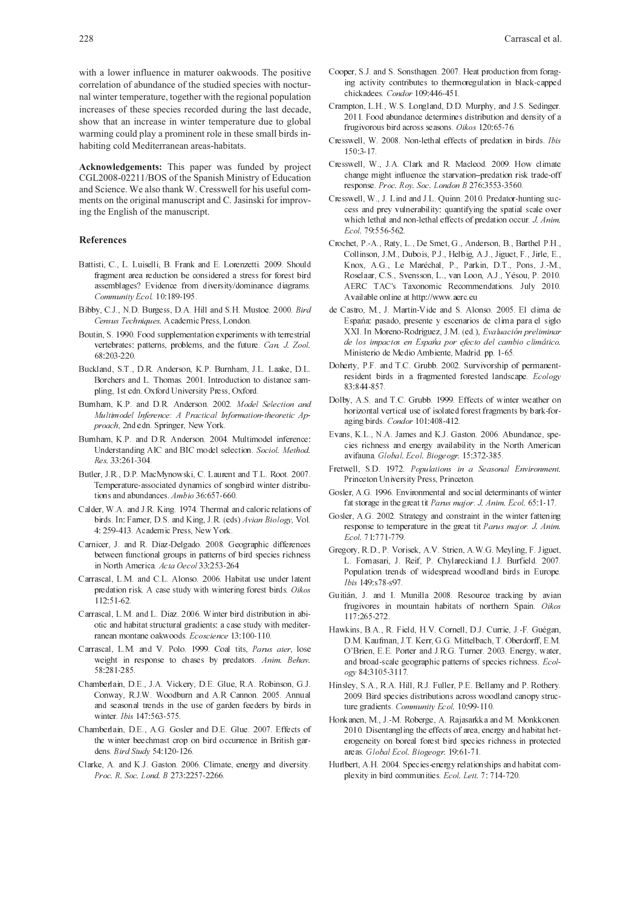with a lower influence in maturer oakwoods. The positive correlation of abundance of the studied species with nocturnal winter temperature, together with the regional population increases of these species recorded during the last decade. show that an increase in winter temperature due to global warming could play a prominent role in these small birds inhabiting cold Mediterranean areas-habitats.

Acknowledgements: This paper was funded by project CGL2008-02211/BOS of the Spanish Ministry of Education and Science. We also thank W. Cresswell for his useful comments on the original manuscript and C. Jasinski for improving the English of the manuscript.

### **References**

- Battisti, C., L. Luiselli, B. Frank and E. Lorenzetti. 2009. Should fragment area reduction be considered a stress for forest bird assemblages? Evidence from diversity/dominance diagrams. Community Ecol. 10 189-195.
- Bibby, C.J., N.D. Burgess, D.A. Hill and S.H. Mustoe. 2000. Bird Census Techniques. Academic Press, London.
- Boutin, S. 1990. Food supplementation experiments with terrestrial vertebrates: patterns, problems, and the future. Can. J. Zool. 68:203-220
- Buckland, S.T., D.R. Anderson, K.P. Burnham, J.L. Laake, D.L. Borchers and L. Thomas. 2001. Introduction to distance sampling, 1st edn. Oxford University Press, Oxford.
- Burnham, K.P. and D.R. Anderson. 2002. Model Selection and Multimodel Inference: A Practical Information-theoretic Approach, 2nd edn. Springer, New York.
- Burnham, K.P. and D.R. Anderson. 2004. Multimodel inference: Understanding AIC and BIC model selection. Sociol. Method. Res. 33.261-304.
- Butler, J.R., D.P. MacMynowski, C. Laurent and T.L. Root. 2007. Temperature-associated dynamics of songbird winter distributions and abundances Ambio 36:657-660.
- Calder, W.A. and J.R. King. 1974. Thermal and caloric relations of birds. In: Farner, D.S. and King, J.R. (eds) Avian Biology, Vol. 4: 259-413. Academic Press, New York.
- Carnicer, J. and R. Díaz-Delgado. 2008. Geographic differences between functional groups in patterns of bird species richness in North America. Acta Oecol 33:253-264
- Carrascal, L.M. and C.L. Alonso. 2006. Habitat use under latent predation risk. A case study with wintering forest birds. Oikos 112:51-62.
- Carrascal, L.M. and L. Diaz. 2006. Winter bird distribution in abiotic and habitat structural gradients: a case study with mediterranean montane oakwoods. Ecoscience 13 100-110.
- Carrascal, L.M. and V. Polo. 1999. Coal tits, Parus ater, lose weight in response to chases by predators. Anim. Behav. 58.281-285
- Chamberlain, D.E., J.A. Vickery, D.E. Glue, R.A. Robinson, G.J. Conway, R.J.W. Woodburn and A.R Cannon. 2005. Annual and seasonal trends in the use of garden feeders by birds in winter *This* 147.563-575
- Chamberlain, D.E., A.G. Gosler and D.E. Glue. 2007. Effects of the winter beechmast crop on bird occurrence in British gardens. Bird Study 54:120-126.
- Clarke, A. and K.J. Gaston. 2006. Climate, energy and diversity. Proc. R. Soc. Lond. B 273:2257-2266.
- Cooper, S.J. and S. Sonsthagen. 2007. Heat production from foraging activity contributes to thermoregulation in black-capped chickadees. Condor 109:446-451.
- Crampton, L.H., W.S. Longland, D.D. Murphy, and J.S. Sedinger. 2011. Food abundance determines distribution and density of a frugivorous bird across seasons. *Oikos* 120:65-76.
- Cresswell, W. 2008. Non-lethal effects of predation in birds. Ibis 150 3-17
- Cresswell, W., J.A. Clark and R. Macleod. 2009. How climate change might influence the starvation-predation risk trade-off response Proc. Roy. Soc. London B 276:3553-3560.
- Cresswell, W., J. Lind and J.L. Quinn. 2010. Predator-hunting success and prev vulnerability; quantifying the spatial scale over which lethal and non-lethal effects of predation occur. J. Anim. Ecol. 79:556-562.
- Crochet, P. A., Raty, L., De Smet, G., Anderson, B., Barthel P.H., Collinson, J.M., Dubois, P.J., Helbig, A.J., Jiguet, F., Jirle, E., Knox, A.G., Le Maréchal, P., Parkin, D.T., Pons, J.-M., Roselaar, C.S., Svensson, L., van Loon, A.J., Yésou, P. 2010. AERC TAC's Taxonomic Recommendations. July 2010. Available online at http://www.aerc.eu
- de Castro, M., J. Martín-Vide and S. Alonso. 2005. El clima de España: pasado, presente y escenarios de clima para el siglo XXI. In Moreno-Rodríguez, J.M. (ed.), Evaluación preliminar de los impactos en España por efecto del cambio climático. Ministerio de Medio Ambiente, Madrid. pp. 1-65.
- Doherty, P.F. and T.C. Grubb. 2002. Survivorship of permanentresident birds in a fragmented forested landscape. Ecology 83:844-857.
- Dolby, A.S. and T.C. Grubb. 1999. Effects of winter weather on horizontal vertical use of isolated forest fragments by bark-foraging birds. Condor 101:408-412.
- Evans, K.L., N.A. James and K.J. Gaston. 2006. Abundance, species richness and energy availability in the North American avifauna Global Ecol Biogeogr 15:372-385.
- Fretwell, S.D. 1972. Populations in a Seasonal Environment. Princeton University Press, Princeton.
- Gosler, A.G. 1996. Environmental and social determinants of winter fat storage in the great tit Parus major J Anim Ecol 65 1 17
- Gosler, A.G. 2002. Strategy and constraint in the winter fattening response to temperature in the great tit Parus major. J. Anim. Ecol. 71:771-779.
- Gregory, R.D., P. Vorisek, A.V. Strien, A.W.G. Meyling, F. Jiguet, L. Fornasari, J. Reif, P. Chylareckiand I.J. Burfield. 2007. Population trends of widespread woodland birds in Europe. Ibis 149:s78-s97.
- Guitián, J. and I. Munilla 2008. Resource tracking by avian frugivores in mountain habitats of northern Spain. Oikos 117:265-272.
- Hawkins, B.A., R. Field, H.V. Cornell, D.J. Currie, J. F. Guégan, D.M. Kaufman, J.T. Kerr, G.G. Mittelbach, T. Oberdorff, E.M. O'Brien, E.E. Porter and J.R.G. Turner. 2003. Energy, water, and broad-scale geographic patterns of species richness. Ecology 84:3105-3117
- Hinsley, S.A., R.A. Hill, R.J. Fuller, P.E. Bellamy and P. Rothery. 2009 Bird species distributions across woodland canopy structure gradients. Community Ecol. 10 99-110.
- Honkanen, M., J.-M. Roberge, A. Rajasarkka and M. Monkkonen. 2010. Disentangling the effects of area, energy and habitat heterogeneity on boreal forest bird species richness in protected areas Global Ecol Biogeogr 1961-71
- Hurlbert, A.H. 2004. Species-energy relationships and habitat complexity in bird communities. Ecol. Lett. 7: 714-720.